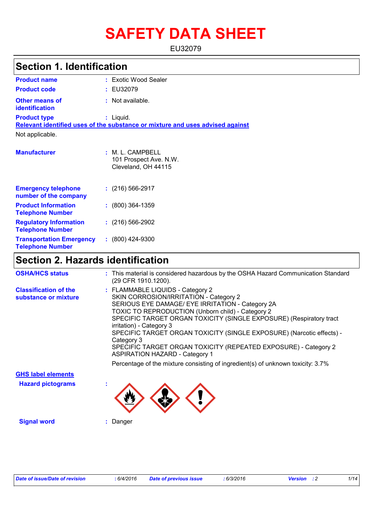# **SAFETY DATA SHEET**

EU32079

| <b>Section 1. Identification</b>                           |                                                                               |  |  |
|------------------------------------------------------------|-------------------------------------------------------------------------------|--|--|
| <b>Product name</b>                                        | : Exotic Wood Sealer                                                          |  |  |
| <b>Product code</b>                                        | : EU32079                                                                     |  |  |
| <b>Other means of</b><br>identification                    | : Not available.                                                              |  |  |
| <b>Product type</b>                                        | $:$ Liquid.                                                                   |  |  |
|                                                            | Relevant identified uses of the substance or mixture and uses advised against |  |  |
| Not applicable.                                            |                                                                               |  |  |
| <b>Manufacturer</b>                                        | :M.L.CAMPBELL<br>101 Prospect Ave. N.W.<br>Cleveland, OH 44115                |  |  |
| <b>Emergency telephone</b><br>number of the company        | $: (216) 566 - 2917$                                                          |  |  |
| <b>Product Information</b><br><b>Telephone Number</b>      | $: (800)$ 364-1359                                                            |  |  |
| <b>Regulatory Information</b><br><b>Telephone Number</b>   | $(216)$ 566-2902                                                              |  |  |
| <b>Transportation Emergency</b><br><b>Telephone Number</b> | $: (800)$ 424-9300                                                            |  |  |

# **Section 2. Hazards identification**

| <b>OSHA/HCS status</b>                               | : This material is considered hazardous by the OSHA Hazard Communication Standard<br>(29 CFR 1910.1200).                                                                                                                                                                                                                                                                                                                                                                                                                                                                     |
|------------------------------------------------------|------------------------------------------------------------------------------------------------------------------------------------------------------------------------------------------------------------------------------------------------------------------------------------------------------------------------------------------------------------------------------------------------------------------------------------------------------------------------------------------------------------------------------------------------------------------------------|
| <b>Classification of the</b><br>substance or mixture | : FLAMMABLE LIQUIDS - Category 2<br>SKIN CORROSION/IRRITATION - Category 2<br>SERIOUS EYE DAMAGE/ EYE IRRITATION - Category 2A<br>TOXIC TO REPRODUCTION (Unborn child) - Category 2<br>SPECIFIC TARGET ORGAN TOXICITY (SINGLE EXPOSURE) (Respiratory tract<br>irritation) - Category 3<br>SPECIFIC TARGET ORGAN TOXICITY (SINGLE EXPOSURE) (Narcotic effects) -<br>Category 3<br>SPECIFIC TARGET ORGAN TOXICITY (REPEATED EXPOSURE) - Category 2<br><b>ASPIRATION HAZARD - Category 1</b><br>Percentage of the mixture consisting of ingredient(s) of unknown toxicity: 3.7% |
| <b>GHS label elements</b>                            |                                                                                                                                                                                                                                                                                                                                                                                                                                                                                                                                                                              |
| <b>Hazard pictograms</b>                             |                                                                                                                                                                                                                                                                                                                                                                                                                                                                                                                                                                              |
| <b>Signal word</b>                                   | Danger                                                                                                                                                                                                                                                                                                                                                                                                                                                                                                                                                                       |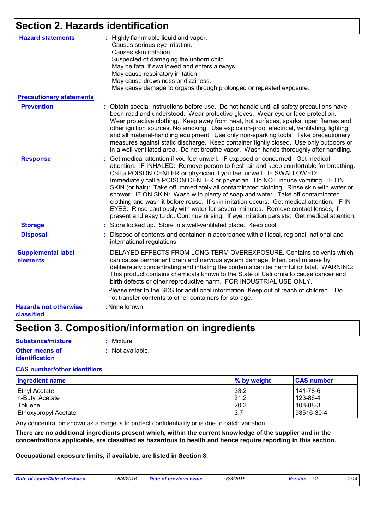# **Section 2. Hazards identification**

| <b>Hazard statements</b>                   | : Highly flammable liquid and vapor.<br>Causes serious eye irritation.<br>Causes skin irritation.<br>Suspected of damaging the unborn child.<br>May be fatal if swallowed and enters airways.<br>May cause respiratory irritation.<br>May cause drowsiness or dizziness.<br>May cause damage to organs through prolonged or repeated exposure.                                                                                                                                                                                                                                                                                                                                                                                                                                                  |
|--------------------------------------------|-------------------------------------------------------------------------------------------------------------------------------------------------------------------------------------------------------------------------------------------------------------------------------------------------------------------------------------------------------------------------------------------------------------------------------------------------------------------------------------------------------------------------------------------------------------------------------------------------------------------------------------------------------------------------------------------------------------------------------------------------------------------------------------------------|
| <b>Precautionary statements</b>            |                                                                                                                                                                                                                                                                                                                                                                                                                                                                                                                                                                                                                                                                                                                                                                                                 |
| <b>Prevention</b>                          | : Obtain special instructions before use. Do not handle until all safety precautions have<br>been read and understood. Wear protective gloves. Wear eye or face protection.<br>Wear protective clothing. Keep away from heat, hot surfaces, sparks, open flames and<br>other ignition sources. No smoking. Use explosion-proof electrical, ventilating, lighting<br>and all material-handling equipment. Use only non-sparking tools. Take precautionary<br>measures against static discharge. Keep container tightly closed. Use only outdoors or<br>in a well-ventilated area. Do not breathe vapor. Wash hands thoroughly after handling.                                                                                                                                                    |
| <b>Response</b>                            | : Get medical attention if you feel unwell. IF exposed or concerned: Get medical<br>attention. IF INHALED: Remove person to fresh air and keep comfortable for breathing.<br>Call a POISON CENTER or physician if you feel unwell. IF SWALLOWED:<br>Immediately call a POISON CENTER or physician. Do NOT induce vomiting. IF ON<br>SKIN (or hair): Take off immediately all contaminated clothing. Rinse skin with water or<br>shower. IF ON SKIN: Wash with plenty of soap and water. Take off contaminated<br>clothing and wash it before reuse. If skin irritation occurs: Get medical attention. IF IN<br>EYES: Rinse cautiously with water for several minutes. Remove contact lenses, if<br>present and easy to do. Continue rinsing. If eye irritation persists: Get medical attention. |
| <b>Storage</b>                             | : Store locked up. Store in a well-ventilated place. Keep cool.                                                                                                                                                                                                                                                                                                                                                                                                                                                                                                                                                                                                                                                                                                                                 |
| <b>Disposal</b>                            | Dispose of contents and container in accordance with all local, regional, national and<br>international regulations.                                                                                                                                                                                                                                                                                                                                                                                                                                                                                                                                                                                                                                                                            |
| <b>Supplemental label</b><br>elements      | DELAYED EFFECTS FROM LONG TERM OVEREXPOSURE. Contains solvents which<br>can cause permanent brain and nervous system damage. Intentional misuse by<br>deliberately concentrating and inhaling the contents can be harmful or fatal. WARNING:<br>This product contains chemicals known to the State of California to cause cancer and<br>birth defects or other reproductive harm. FOR INDUSTRIAL USE ONLY.                                                                                                                                                                                                                                                                                                                                                                                      |
|                                            | Please refer to the SDS for additional information. Keep out of reach of children. Do<br>not transfer contents to other containers for storage.                                                                                                                                                                                                                                                                                                                                                                                                                                                                                                                                                                                                                                                 |
| <b>Hazards not otherwise</b><br>classified | : None known.                                                                                                                                                                                                                                                                                                                                                                                                                                                                                                                                                                                                                                                                                                                                                                                   |

# **Section 3. Composition/information on ingredients**

| Substance/mixture     | : Mixture        |
|-----------------------|------------------|
| <b>Other means of</b> | : Not available. |
| <i>identification</i> |                  |

#### **CAS number/other identifiers**

| <b>Ingredient name</b>      | % by weight | <b>CAS number</b> |
|-----------------------------|-------------|-------------------|
| <b>Ethyl Acetate</b>        | 33.2        | 141-78-6          |
| n-Butyl Acetate             | 21.2        | 123-86-4          |
| <b>Toluene</b>              | 20.2        | 108-88-3          |
| <b>Ethoxypropyl Acetate</b> | 3.7         | 98516-30-4        |

Any concentration shown as a range is to protect confidentiality or is due to batch variation.

**There are no additional ingredients present which, within the current knowledge of the supplier and in the concentrations applicable, are classified as hazardous to health and hence require reporting in this section.**

**Occupational exposure limits, if available, are listed in Section 8.**

| Date of issue/Date of revision<br>6/3/2016<br>.6/4/2016<br><b>Date of previous issue</b><br>Version | 2/14 |
|-----------------------------------------------------------------------------------------------------|------|
|-----------------------------------------------------------------------------------------------------|------|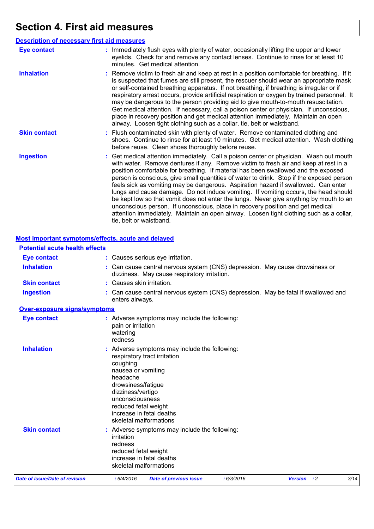# **Section 4. First aid measures**

|                     | <b>Description of necessary first aid measures</b>                                                                                                                                                                                                                                                                                                                                                                                                                                                                                                                                                                                                                                                                                                                                                                                              |
|---------------------|-------------------------------------------------------------------------------------------------------------------------------------------------------------------------------------------------------------------------------------------------------------------------------------------------------------------------------------------------------------------------------------------------------------------------------------------------------------------------------------------------------------------------------------------------------------------------------------------------------------------------------------------------------------------------------------------------------------------------------------------------------------------------------------------------------------------------------------------------|
| <b>Eye contact</b>  | : Immediately flush eyes with plenty of water, occasionally lifting the upper and lower<br>eyelids. Check for and remove any contact lenses. Continue to rinse for at least 10<br>minutes. Get medical attention.                                                                                                                                                                                                                                                                                                                                                                                                                                                                                                                                                                                                                               |
| <b>Inhalation</b>   | : Remove victim to fresh air and keep at rest in a position comfortable for breathing. If it<br>is suspected that fumes are still present, the rescuer should wear an appropriate mask<br>or self-contained breathing apparatus. If not breathing, if breathing is irregular or if<br>respiratory arrest occurs, provide artificial respiration or oxygen by trained personnel. It<br>may be dangerous to the person providing aid to give mouth-to-mouth resuscitation.<br>Get medical attention. If necessary, call a poison center or physician. If unconscious,<br>place in recovery position and get medical attention immediately. Maintain an open<br>airway. Loosen tight clothing such as a collar, tie, belt or waistband.                                                                                                            |
| <b>Skin contact</b> | : Flush contaminated skin with plenty of water. Remove contaminated clothing and<br>shoes. Continue to rinse for at least 10 minutes. Get medical attention. Wash clothing<br>before reuse. Clean shoes thoroughly before reuse.                                                                                                                                                                                                                                                                                                                                                                                                                                                                                                                                                                                                                |
| <b>Ingestion</b>    | : Get medical attention immediately. Call a poison center or physician. Wash out mouth<br>with water. Remove dentures if any. Remove victim to fresh air and keep at rest in a<br>position comfortable for breathing. If material has been swallowed and the exposed<br>person is conscious, give small quantities of water to drink. Stop if the exposed person<br>feels sick as vomiting may be dangerous. Aspiration hazard if swallowed. Can enter<br>lungs and cause damage. Do not induce vomiting. If vomiting occurs, the head should<br>be kept low so that vomit does not enter the lungs. Never give anything by mouth to an<br>unconscious person. If unconscious, place in recovery position and get medical<br>attention immediately. Maintain an open airway. Loosen tight clothing such as a collar,<br>tie, belt or waistband. |

#### **Most important symptoms/effects, acute and delayed**

| <b>Potential acute health effects</b> |                                                                                                                                  |                                                                                                                                   |            |             |  |      |  |  |  |
|---------------------------------------|----------------------------------------------------------------------------------------------------------------------------------|-----------------------------------------------------------------------------------------------------------------------------------|------------|-------------|--|------|--|--|--|
| <b>Eye contact</b>                    |                                                                                                                                  | : Causes serious eye irritation.                                                                                                  |            |             |  |      |  |  |  |
| <b>Inhalation</b>                     |                                                                                                                                  | : Can cause central nervous system (CNS) depression. May cause drowsiness or<br>dizziness. May cause respiratory irritation.      |            |             |  |      |  |  |  |
| <b>Skin contact</b>                   | : Causes skin irritation.                                                                                                        |                                                                                                                                   |            |             |  |      |  |  |  |
| <b>Ingestion</b>                      |                                                                                                                                  | : Can cause central nervous system (CNS) depression. May be fatal if swallowed and<br>enters airways.                             |            |             |  |      |  |  |  |
| <b>Over-exposure signs/symptoms</b>   |                                                                                                                                  |                                                                                                                                   |            |             |  |      |  |  |  |
| <b>Eye contact</b>                    | pain or irritation<br>watering<br>redness                                                                                        | : Adverse symptoms may include the following:                                                                                     |            |             |  |      |  |  |  |
| <b>Inhalation</b>                     | coughing<br>nausea or vomiting<br>headache<br>drowsiness/fatigue<br>dizziness/vertigo<br>unconsciousness<br>reduced fetal weight | Adverse symptoms may include the following:<br>respiratory tract irritation<br>increase in fetal deaths<br>skeletal malformations |            |             |  |      |  |  |  |
| <b>Skin contact</b>                   | irritation<br>redness<br>reduced fetal weight                                                                                    | : Adverse symptoms may include the following:<br>increase in fetal deaths<br>skeletal malformations                               |            |             |  |      |  |  |  |
| Date of issue/Date of revision        | : 6/4/2016                                                                                                                       | <b>Date of previous issue</b>                                                                                                     | : 6/3/2016 | Version : 2 |  | 3/14 |  |  |  |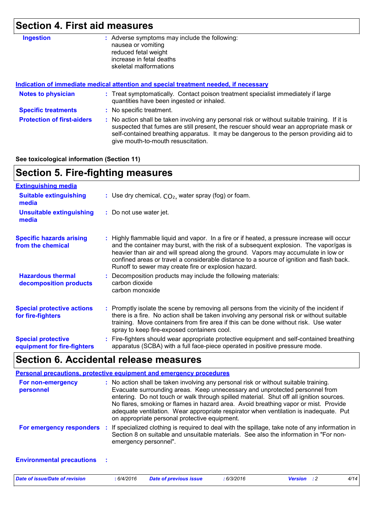# **Section 4. First aid measures**

| <b>Ingestion</b>                  | : Adverse symptoms may include the following:<br>nausea or vomiting<br>reduced fetal weight<br>increase in fetal deaths<br>skeletal malformations                                                                                                                                                                       |
|-----------------------------------|-------------------------------------------------------------------------------------------------------------------------------------------------------------------------------------------------------------------------------------------------------------------------------------------------------------------------|
|                                   | Indication of immediate medical attention and special treatment needed, if necessary                                                                                                                                                                                                                                    |
| <b>Notes to physician</b>         | : Treat symptomatically. Contact poison treatment specialist immediately if large<br>quantities have been ingested or inhaled.                                                                                                                                                                                          |
| <b>Specific treatments</b>        | : No specific treatment.                                                                                                                                                                                                                                                                                                |
| <b>Protection of first-aiders</b> | : No action shall be taken involving any personal risk or without suitable training. If it is<br>suspected that fumes are still present, the rescuer should wear an appropriate mask or<br>self-contained breathing apparatus. It may be dangerous to the person providing aid to<br>give mouth-to-mouth resuscitation. |

#### **See toxicological information (Section 11)**

| <b>Section 5. Fire-fighting measures</b>                 |                                                                                                                                                                                                                                                                                                                                                                                                                                 |
|----------------------------------------------------------|---------------------------------------------------------------------------------------------------------------------------------------------------------------------------------------------------------------------------------------------------------------------------------------------------------------------------------------------------------------------------------------------------------------------------------|
| <b>Extinguishing media</b>                               |                                                                                                                                                                                                                                                                                                                                                                                                                                 |
| <b>Suitable extinguishing</b><br>media                   | : Use dry chemical, $CO2$ , water spray (fog) or foam.                                                                                                                                                                                                                                                                                                                                                                          |
| <b>Unsuitable extinguishing</b><br>media                 | : Do not use water jet.                                                                                                                                                                                                                                                                                                                                                                                                         |
| <b>Specific hazards arising</b><br>from the chemical     | : Highly flammable liquid and vapor. In a fire or if heated, a pressure increase will occur<br>and the container may burst, with the risk of a subsequent explosion. The vapor/gas is<br>heavier than air and will spread along the ground. Vapors may accumulate in low or<br>confined areas or travel a considerable distance to a source of ignition and flash back.<br>Runoff to sewer may create fire or explosion hazard. |
| <b>Hazardous thermal</b><br>decomposition products       | Decomposition products may include the following materials:<br>carbon dioxide<br>carbon monoxide                                                                                                                                                                                                                                                                                                                                |
| <b>Special protective actions</b><br>for fire-fighters   | : Promptly isolate the scene by removing all persons from the vicinity of the incident if<br>there is a fire. No action shall be taken involving any personal risk or without suitable<br>training. Move containers from fire area if this can be done without risk. Use water<br>spray to keep fire-exposed containers cool.                                                                                                   |
| <b>Special protective</b><br>equipment for fire-fighters | Fire-fighters should wear appropriate protective equipment and self-contained breathing<br>apparatus (SCBA) with a full face-piece operated in positive pressure mode.                                                                                                                                                                                                                                                          |
|                                                          |                                                                                                                                                                                                                                                                                                                                                                                                                                 |

### **Section 6. Accidental release measures**

|                                | <b>Personal precautions, protective equipment and emergency procedures</b>                                                                                                                                                                                                                                                                                                                                                                                                                      |
|--------------------------------|-------------------------------------------------------------------------------------------------------------------------------------------------------------------------------------------------------------------------------------------------------------------------------------------------------------------------------------------------------------------------------------------------------------------------------------------------------------------------------------------------|
| For non-emergency<br>personnel | : No action shall be taken involving any personal risk or without suitable training.<br>Evacuate surrounding areas. Keep unnecessary and unprotected personnel from<br>entering. Do not touch or walk through spilled material. Shut off all ignition sources.<br>No flares, smoking or flames in hazard area. Avoid breathing vapor or mist. Provide<br>adequate ventilation. Wear appropriate respirator when ventilation is inadequate. Put<br>on appropriate personal protective equipment. |
| For emergency responders       | : If specialized clothing is required to deal with the spillage, take note of any information in<br>Section 8 on suitable and unsuitable materials. See also the information in "For non-<br>emergency personnel".                                                                                                                                                                                                                                                                              |

#### **Environmental precautions :**

| Date of issue/Date of revision | : 6/4/2016 | <b>Date of previous issue</b> | : 6/3/2016 | <b>Version</b> : 2 | 4/14 |
|--------------------------------|------------|-------------------------------|------------|--------------------|------|
|                                |            |                               |            |                    |      |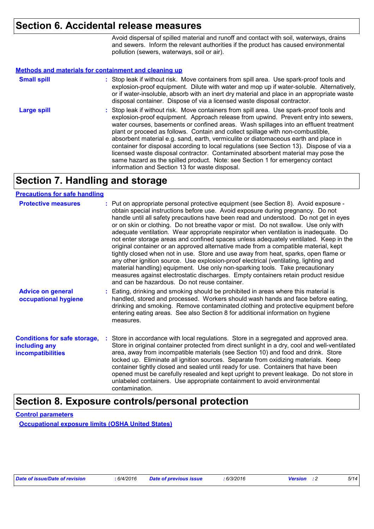## **Section 6. Accidental release measures**

Avoid dispersal of spilled material and runoff and contact with soil, waterways, drains and sewers. Inform the relevant authorities if the product has caused environmental pollution (sewers, waterways, soil or air).

#### **Methods and materials for containment and cleaning up**

| <b>Small spill</b> | : Stop leak if without risk. Move containers from spill area. Use spark-proof tools and<br>explosion-proof equipment. Dilute with water and mop up if water-soluble. Alternatively,<br>or if water-insoluble, absorb with an inert dry material and place in an appropriate waste<br>disposal container. Dispose of via a licensed waste disposal contractor.                                                                                                                                                                                                                                                                                                                                                                                                        |
|--------------------|----------------------------------------------------------------------------------------------------------------------------------------------------------------------------------------------------------------------------------------------------------------------------------------------------------------------------------------------------------------------------------------------------------------------------------------------------------------------------------------------------------------------------------------------------------------------------------------------------------------------------------------------------------------------------------------------------------------------------------------------------------------------|
| <b>Large spill</b> | : Stop leak if without risk. Move containers from spill area. Use spark-proof tools and<br>explosion-proof equipment. Approach release from upwind. Prevent entry into sewers,<br>water courses, basements or confined areas. Wash spillages into an effluent treatment<br>plant or proceed as follows. Contain and collect spillage with non-combustible,<br>absorbent material e.g. sand, earth, vermiculite or diatomaceous earth and place in<br>container for disposal according to local regulations (see Section 13). Dispose of via a<br>licensed waste disposal contractor. Contaminated absorbent material may pose the<br>same hazard as the spilled product. Note: see Section 1 for emergency contact<br>information and Section 13 for waste disposal. |

# **Section 7. Handling and storage**

#### **Precautions for safe handling**

| <b>Protective measures</b>                                                       | : Put on appropriate personal protective equipment (see Section 8). Avoid exposure -<br>obtain special instructions before use. Avoid exposure during pregnancy. Do not<br>handle until all safety precautions have been read and understood. Do not get in eyes<br>or on skin or clothing. Do not breathe vapor or mist. Do not swallow. Use only with<br>adequate ventilation. Wear appropriate respirator when ventilation is inadequate. Do<br>not enter storage areas and confined spaces unless adequately ventilated. Keep in the<br>original container or an approved alternative made from a compatible material, kept<br>tightly closed when not in use. Store and use away from heat, sparks, open flame or<br>any other ignition source. Use explosion-proof electrical (ventilating, lighting and<br>material handling) equipment. Use only non-sparking tools. Take precautionary<br>measures against electrostatic discharges. Empty containers retain product residue<br>and can be hazardous. Do not reuse container. |
|----------------------------------------------------------------------------------|----------------------------------------------------------------------------------------------------------------------------------------------------------------------------------------------------------------------------------------------------------------------------------------------------------------------------------------------------------------------------------------------------------------------------------------------------------------------------------------------------------------------------------------------------------------------------------------------------------------------------------------------------------------------------------------------------------------------------------------------------------------------------------------------------------------------------------------------------------------------------------------------------------------------------------------------------------------------------------------------------------------------------------------|
| <b>Advice on general</b><br>occupational hygiene                                 | : Eating, drinking and smoking should be prohibited in areas where this material is<br>handled, stored and processed. Workers should wash hands and face before eating,<br>drinking and smoking. Remove contaminated clothing and protective equipment before<br>entering eating areas. See also Section 8 for additional information on hygiene<br>measures.                                                                                                                                                                                                                                                                                                                                                                                                                                                                                                                                                                                                                                                                          |
| <b>Conditions for safe storage,</b><br>including any<br><b>incompatibilities</b> | : Store in accordance with local regulations. Store in a segregated and approved area.<br>Store in original container protected from direct sunlight in a dry, cool and well-ventilated<br>area, away from incompatible materials (see Section 10) and food and drink. Store<br>locked up. Eliminate all ignition sources. Separate from oxidizing materials. Keep<br>container tightly closed and sealed until ready for use. Containers that have been<br>opened must be carefully resealed and kept upright to prevent leakage. Do not store in<br>unlabeled containers. Use appropriate containment to avoid environmental<br>contamination.                                                                                                                                                                                                                                                                                                                                                                                       |

### **Section 8. Exposure controls/personal protection**

**Control parameters Occupational exposure limits (OSHA United States)**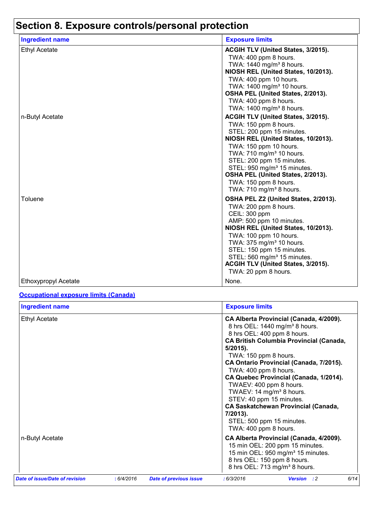# **Section 8. Exposure controls/personal protection**

| <b>Ingredient name</b> | <b>Exposure limits</b>                                                                                                                                                                                                                                                                                                                                                         |
|------------------------|--------------------------------------------------------------------------------------------------------------------------------------------------------------------------------------------------------------------------------------------------------------------------------------------------------------------------------------------------------------------------------|
| <b>Ethyl Acetate</b>   | ACGIH TLV (United States, 3/2015).<br>TWA: 400 ppm 8 hours.<br>TWA: 1440 mg/m <sup>3</sup> 8 hours.<br>NIOSH REL (United States, 10/2013).<br>TWA: 400 ppm 10 hours.<br>TWA: 1400 mg/m <sup>3</sup> 10 hours.<br>OSHA PEL (United States, 2/2013).<br>TWA: 400 ppm 8 hours.<br>TWA: 1400 mg/m <sup>3</sup> 8 hours.                                                            |
| n-Butyl Acetate        | ACGIH TLV (United States, 3/2015).<br>TWA: 150 ppm 8 hours.<br>STEL: 200 ppm 15 minutes.<br>NIOSH REL (United States, 10/2013).<br>TWA: 150 ppm 10 hours.<br>TWA: 710 mg/m <sup>3</sup> 10 hours.<br>STEL: 200 ppm 15 minutes.<br>STEL: 950 mg/m <sup>3</sup> 15 minutes.<br>OSHA PEL (United States, 2/2013).<br>TWA: 150 ppm 8 hours.<br>TWA: 710 mg/m <sup>3</sup> 8 hours. |
| Toluene                | OSHA PEL Z2 (United States, 2/2013).<br>TWA: 200 ppm 8 hours.<br>CEIL: 300 ppm<br>AMP: 500 ppm 10 minutes.<br>NIOSH REL (United States, 10/2013).<br>TWA: 100 ppm 10 hours.<br>TWA: 375 mg/m <sup>3</sup> 10 hours.<br>STEL: 150 ppm 15 minutes.<br>STEL: 560 mg/m <sup>3</sup> 15 minutes.<br>ACGIH TLV (United States, 3/2015).<br>TWA: 20 ppm 8 hours.                      |
| Ethoxypropyl Acetate   | None.                                                                                                                                                                                                                                                                                                                                                                          |

### **Occupational exposure limits (Canada)**

| <b>Ingredient name</b>         |            |                               | <b>Exposure limits</b>                                                                                                                                                                                                                                                                                                                                                                                                                                                                                                                      |
|--------------------------------|------------|-------------------------------|---------------------------------------------------------------------------------------------------------------------------------------------------------------------------------------------------------------------------------------------------------------------------------------------------------------------------------------------------------------------------------------------------------------------------------------------------------------------------------------------------------------------------------------------|
| <b>Ethyl Acetate</b>           |            |                               | CA Alberta Provincial (Canada, 4/2009).<br>8 hrs OEL: 1440 mg/m <sup>3</sup> 8 hours.<br>8 hrs OEL: 400 ppm 8 hours.<br><b>CA British Columbia Provincial (Canada,</b><br>$5/2015$ ).<br>TWA: 150 ppm 8 hours.<br>CA Ontario Provincial (Canada, 7/2015).<br>TWA: 400 ppm 8 hours.<br>CA Quebec Provincial (Canada, 1/2014).<br>TWAEV: 400 ppm 8 hours.<br>TWAEV: 14 mg/m <sup>3</sup> 8 hours.<br>STEV: 40 ppm 15 minutes.<br><b>CA Saskatchewan Provincial (Canada,</b><br>7/2013).<br>STEL: 500 ppm 15 minutes.<br>TWA: 400 ppm 8 hours. |
| n-Butyl Acetate                |            |                               | CA Alberta Provincial (Canada, 4/2009).<br>15 min OEL: 200 ppm 15 minutes.<br>15 min OEL: 950 mg/m <sup>3</sup> 15 minutes.<br>8 hrs OEL: 150 ppm 8 hours.<br>8 hrs OEL: 713 mg/m <sup>3</sup> 8 hours.                                                                                                                                                                                                                                                                                                                                     |
| Date of issue/Date of revision | : 6/4/2016 | <b>Date of previous issue</b> | 6/14<br>:6/3/2016<br><b>Version</b> : 2                                                                                                                                                                                                                                                                                                                                                                                                                                                                                                     |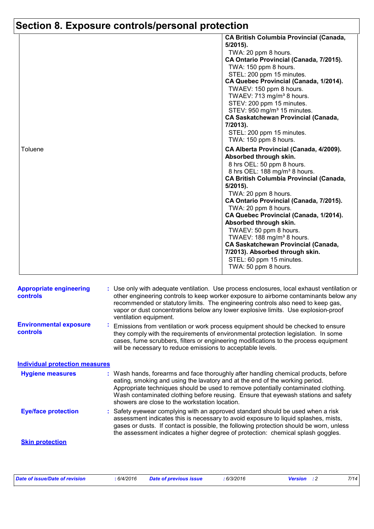# **Section 8. Exposure controls/personal protection**

|         | <b>CA British Columbia Provincial (Canada,</b><br>$5/2015$ ).<br>TWA: 20 ppm 8 hours.<br>CA Ontario Provincial (Canada, 7/2015).<br>TWA: 150 ppm 8 hours.<br>STEL: 200 ppm 15 minutes.<br>CA Quebec Provincial (Canada, 1/2014).<br>TWAEV: 150 ppm 8 hours.<br>TWAEV: 713 mg/m <sup>3</sup> 8 hours.<br>STEV: 200 ppm 15 minutes.<br>STEV: 950 mg/m <sup>3</sup> 15 minutes.<br><b>CA Saskatchewan Provincial (Canada,</b><br>7/2013).<br>STEL: 200 ppm 15 minutes. |
|---------|---------------------------------------------------------------------------------------------------------------------------------------------------------------------------------------------------------------------------------------------------------------------------------------------------------------------------------------------------------------------------------------------------------------------------------------------------------------------|
| Toluene | TWA: 150 ppm 8 hours.<br>CA Alberta Provincial (Canada, 4/2009).<br>Absorbed through skin.<br>8 hrs OEL: 50 ppm 8 hours.<br>8 hrs OEL: 188 mg/m <sup>3</sup> 8 hours.<br><b>CA British Columbia Provincial (Canada,</b><br>$5/2015$ ).<br>TWA: 20 ppm 8 hours.<br>CA Ontario Provincial (Canada, 7/2015).<br>TWA: 20 ppm 8 hours.<br>CA Quebec Provincial (Canada, 1/2014).                                                                                         |
|         | Absorbed through skin.<br>TWAEV: 50 ppm 8 hours.<br>TWAEV: 188 mg/m <sup>3</sup> 8 hours.<br><b>CA Saskatchewan Provincial (Canada,</b><br>7/2013). Absorbed through skin.<br>STEL: 60 ppm 15 minutes.<br>TWA: 50 ppm 8 hours.                                                                                                                                                                                                                                      |

| <b>Appropriate engineering</b><br><b>controls</b> |                | : Use only with adequate ventilation. Use process enclosures, local exhaust ventilation or<br>other engineering controls to keep worker exposure to airborne contaminants below any<br>recommended or statutory limits. The engineering controls also need to keep gas,<br>vapor or dust concentrations below any lower explosive limits. Use explosion-proof<br>ventilation equipment.           |
|---------------------------------------------------|----------------|---------------------------------------------------------------------------------------------------------------------------------------------------------------------------------------------------------------------------------------------------------------------------------------------------------------------------------------------------------------------------------------------------|
| <b>Environmental exposure</b><br><b>controls</b>  | $\mathbf{r}$ . | Emissions from ventilation or work process equipment should be checked to ensure<br>they comply with the requirements of environmental protection legislation. In some<br>cases, fume scrubbers, filters or engineering modifications to the process equipment<br>will be necessary to reduce emissions to acceptable levels.                                                                     |
| <b>Individual protection measures</b>             |                |                                                                                                                                                                                                                                                                                                                                                                                                   |
| <b>Hygiene measures</b>                           |                | : Wash hands, forearms and face thoroughly after handling chemical products, before<br>eating, smoking and using the lavatory and at the end of the working period.<br>Appropriate techniques should be used to remove potentially contaminated clothing.<br>Wash contaminated clothing before reusing. Ensure that eyewash stations and safety<br>showers are close to the workstation location. |
| <b>Eye/face protection</b>                        |                | Safety eyewear complying with an approved standard should be used when a risk<br>assessment indicates this is necessary to avoid exposure to liquid splashes, mists,<br>gases or dusts. If contact is possible, the following protection should be worn, unless<br>the assessment indicates a higher degree of protection: chemical splash goggles.                                               |
| <b>Skin protection</b>                            |                |                                                                                                                                                                                                                                                                                                                                                                                                   |

| Date of issue/Date of revision | 6/4/2016 | <b>Date of previous issue</b> | 6/3/2016 | <b>Version</b> : 2 |  |
|--------------------------------|----------|-------------------------------|----------|--------------------|--|
|                                |          |                               |          |                    |  |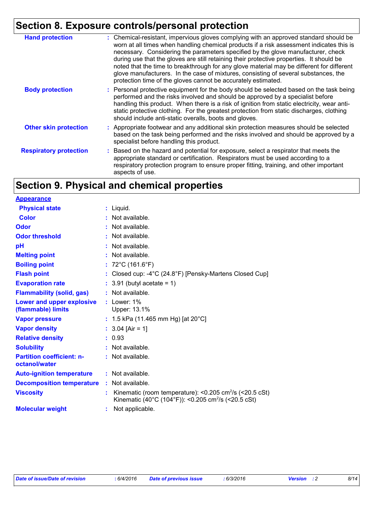# **Section 8. Exposure controls/personal protection**

| <b>Hand protection</b>        | : Chemical-resistant, impervious gloves complying with an approved standard should be<br>worn at all times when handling chemical products if a risk assessment indicates this is<br>necessary. Considering the parameters specified by the glove manufacturer, check<br>during use that the gloves are still retaining their protective properties. It should be<br>noted that the time to breakthrough for any glove material may be different for different<br>glove manufacturers. In the case of mixtures, consisting of several substances, the<br>protection time of the gloves cannot be accurately estimated. |
|-------------------------------|------------------------------------------------------------------------------------------------------------------------------------------------------------------------------------------------------------------------------------------------------------------------------------------------------------------------------------------------------------------------------------------------------------------------------------------------------------------------------------------------------------------------------------------------------------------------------------------------------------------------|
| <b>Body protection</b>        | : Personal protective equipment for the body should be selected based on the task being<br>performed and the risks involved and should be approved by a specialist before<br>handling this product. When there is a risk of ignition from static electricity, wear anti-<br>static protective clothing. For the greatest protection from static discharges, clothing<br>should include anti-static overalls, boots and gloves.                                                                                                                                                                                         |
| <b>Other skin protection</b>  | : Appropriate footwear and any additional skin protection measures should be selected<br>based on the task being performed and the risks involved and should be approved by a<br>specialist before handling this product.                                                                                                                                                                                                                                                                                                                                                                                              |
| <b>Respiratory protection</b> | : Based on the hazard and potential for exposure, select a respirator that meets the<br>appropriate standard or certification. Respirators must be used according to a<br>respiratory protection program to ensure proper fitting, training, and other important<br>aspects of use.                                                                                                                                                                                                                                                                                                                                    |

# **Section 9. Physical and chemical properties**

| <b>Appearance</b>                                 |                                                                                                                                              |
|---------------------------------------------------|----------------------------------------------------------------------------------------------------------------------------------------------|
| <b>Physical state</b>                             | $:$ Liquid.                                                                                                                                  |
| Color                                             | : Not available.                                                                                                                             |
| Odor                                              | : Not available.                                                                                                                             |
| <b>Odor threshold</b>                             | : Not available.                                                                                                                             |
| рH                                                | Not available.                                                                                                                               |
| <b>Melting point</b>                              | : Not available.                                                                                                                             |
| <b>Boiling point</b>                              | : $72^{\circ}$ C (161.6 $^{\circ}$ F)                                                                                                        |
| <b>Flash point</b>                                | : Closed cup: $-4^{\circ}$ C (24.8 $^{\circ}$ F) [Pensky-Martens Closed Cup]                                                                 |
| <b>Evaporation rate</b>                           | $: 3.91$ (butyl acetate = 1)                                                                                                                 |
| <b>Flammability (solid, gas)</b>                  | : Not available.                                                                                                                             |
| Lower and upper explosive<br>(flammable) limits   | : Lower: 1%<br>Upper: 13.1%                                                                                                                  |
| <b>Vapor pressure</b>                             | : 1.5 kPa (11.465 mm Hg) [at $20^{\circ}$ C]                                                                                                 |
| <b>Vapor density</b>                              | : $3.04$ [Air = 1]                                                                                                                           |
| <b>Relative density</b>                           | : 0.93                                                                                                                                       |
| <b>Solubility</b>                                 | $:$ Not available.                                                                                                                           |
| <b>Partition coefficient: n-</b><br>octanol/water | $:$ Not available.                                                                                                                           |
| <b>Auto-ignition temperature</b>                  | $:$ Not available.                                                                                                                           |
| <b>Decomposition temperature</b>                  | $:$ Not available.                                                                                                                           |
| <b>Viscosity</b>                                  | Kinematic (room temperature): < $0.205$ cm <sup>2</sup> /s (< $20.5$ cSt)<br>Kinematic (40°C (104°F)): <0.205 cm <sup>2</sup> /s (<20.5 cSt) |
| <b>Molecular weight</b>                           | Not applicable.                                                                                                                              |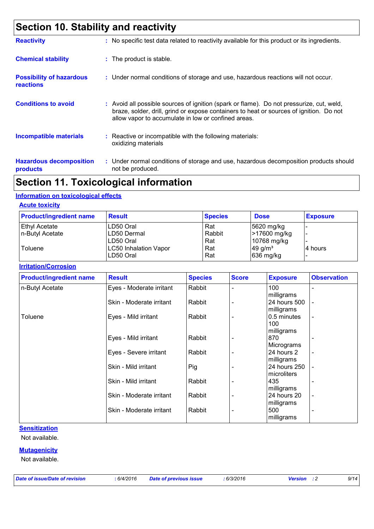# **Section 10. Stability and reactivity**

| <b>Reactivity</b>                                   | : No specific test data related to reactivity available for this product or its ingredients.                                                                                                                                               |
|-----------------------------------------------------|--------------------------------------------------------------------------------------------------------------------------------------------------------------------------------------------------------------------------------------------|
| <b>Chemical stability</b>                           | : The product is stable.                                                                                                                                                                                                                   |
| <b>Possibility of hazardous</b><br><b>reactions</b> | : Under normal conditions of storage and use, hazardous reactions will not occur.                                                                                                                                                          |
| <b>Conditions to avoid</b>                          | : Avoid all possible sources of ignition (spark or flame). Do not pressurize, cut, weld,<br>braze, solder, drill, grind or expose containers to heat or sources of ignition. Do not<br>allow vapor to accumulate in low or confined areas. |
| <b>Incompatible materials</b>                       | : Reactive or incompatible with the following materials:<br>oxidizing materials                                                                                                                                                            |
| <b>Hazardous decomposition</b><br>products          | : Under normal conditions of storage and use, hazardous decomposition products should<br>not be produced.                                                                                                                                  |

# **Section 11. Toxicological information**

#### **Information on toxicological effects**

#### **Acute toxicity**

| <b>Product/ingredient name</b> | <b>Result</b>                | <b>Species</b> | <b>Dose</b>            | <b>Exposure</b> |
|--------------------------------|------------------------------|----------------|------------------------|-----------------|
| Ethyl Acetate                  | LD50 Oral                    | Rat            | $ 5620 \text{ mg/kg} $ |                 |
| n-Butyl Acetate                | ILD50 Dermal                 | Rabbit         | <b>&gt;17600 mg/kg</b> |                 |
|                                | LD50 Oral                    | Rat            | 10768 mg/kg            |                 |
| Toluene                        | <b>LC50 Inhalation Vapor</b> | Rat            | $49$ g/m <sup>3</sup>  | l4 hours        |
|                                | LD50 Oral                    | Rat            | $ 636 \text{ mg/kg} $  |                 |

#### **Irritation/Corrosion**

| <b>Product/ingredient name</b> | <b>Result</b>            | <b>Species</b> | <b>Score</b>             | <b>Exposure</b> | <b>Observation</b>       |
|--------------------------------|--------------------------|----------------|--------------------------|-----------------|--------------------------|
| n-Butyl Acetate                | Eyes - Moderate irritant | Rabbit         |                          | 100             |                          |
|                                |                          |                |                          | milligrams      |                          |
|                                | Skin - Moderate irritant | Rabbit         |                          | 24 hours 500    | $\overline{\phantom{a}}$ |
|                                |                          |                |                          | milligrams      |                          |
| Toluene                        | Eyes - Mild irritant     | Rabbit         |                          | 0.5 minutes     | $\overline{\phantom{a}}$ |
|                                |                          |                |                          | 100             |                          |
|                                |                          |                |                          | milligrams      |                          |
|                                | Eyes - Mild irritant     | Rabbit         |                          | 870             | $\overline{\phantom{a}}$ |
|                                |                          |                |                          | Micrograms      |                          |
|                                | Eyes - Severe irritant   | Rabbit         |                          | 24 hours 2      | $\overline{\phantom{a}}$ |
|                                |                          |                |                          | milligrams      |                          |
|                                | Skin - Mild irritant     | Pig            |                          | 24 hours 250    |                          |
|                                |                          |                |                          | microliters     |                          |
|                                | Skin - Mild irritant     | Rabbit         |                          | 435             | $\overline{\phantom{a}}$ |
|                                |                          |                |                          | milligrams      |                          |
|                                | Skin - Moderate irritant | Rabbit         | $\overline{\phantom{0}}$ | 24 hours 20     | $\overline{\phantom{a}}$ |
|                                |                          |                |                          | milligrams      |                          |
|                                | Skin - Moderate irritant | Rabbit         |                          | 500             | $\overline{\phantom{a}}$ |
|                                |                          |                |                          | milligrams      |                          |

#### **Sensitization**

Not available.

#### **Mutagenicity**

Not available.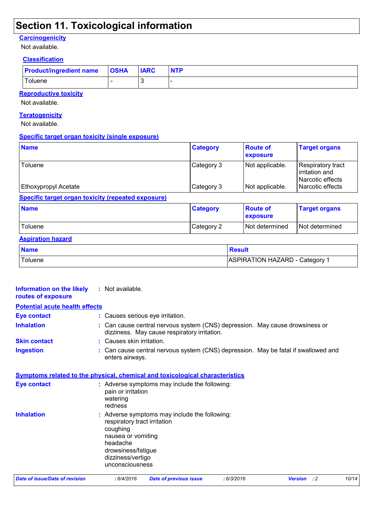# **Section 11. Toxicological information**

#### **Carcinogenicity**

Not available.

#### **Classification**

| <b>Product/ingredient name OSHA</b> | <b>IARC</b> | <b>NTP</b> |
|-------------------------------------|-------------|------------|
| ⊤oluene                             |             |            |

**Reproductive toxicity**

Not available.

#### **Teratogenicity**

Not available.

#### **Specific target organ toxicity (single exposure)**

| <b>Name</b>                                        | <b>Category</b>          | <b>Route of</b><br>exposure        | <b>Target organs</b>                                                        |
|----------------------------------------------------|--------------------------|------------------------------------|-----------------------------------------------------------------------------|
| Toluene<br>Ethoxypropyl Acetate                    | Category 3<br>Category 3 | Not applicable.<br>Not applicable. | Respiratory tract<br>irritation and<br>Narcotic effects<br>Narcotic effects |
| Specific target organ toxicity (repeated exposure) |                          |                                    |                                                                             |
| <b>Name</b>                                        | <b>Category</b>          | <b>Route of</b><br>exposure        | <b>Target organs</b>                                                        |
| Toluene                                            | Category 2               | Not determined                     | Not determined                                                              |

#### **Aspiration hazard**

| <b>Name</b> | <b>Result</b>                  |
|-------------|--------------------------------|
| Toluene     | ASPIRATION HAZARD - Category 1 |

| <b>Date of issue/Date of revision</b>                                               | : 6/4/2016                           | <b>Date of previous issue</b>                                                                                                | : 6/3/2016 | <b>Version</b> | $\cdot$ :2 | 10/14 |
|-------------------------------------------------------------------------------------|--------------------------------------|------------------------------------------------------------------------------------------------------------------------------|------------|----------------|------------|-------|
|                                                                                     | dizziness/vertigo<br>unconsciousness |                                                                                                                              |            |                |            |       |
|                                                                                     | drowsiness/fatigue                   |                                                                                                                              |            |                |            |       |
|                                                                                     | headache                             |                                                                                                                              |            |                |            |       |
|                                                                                     | nausea or vomiting                   |                                                                                                                              |            |                |            |       |
|                                                                                     | coughing                             |                                                                                                                              |            |                |            |       |
|                                                                                     | respiratory tract irritation         |                                                                                                                              |            |                |            |       |
| <b>Inhalation</b>                                                                   |                                      | : Adverse symptoms may include the following:                                                                                |            |                |            |       |
|                                                                                     | redness                              |                                                                                                                              |            |                |            |       |
|                                                                                     | pain or irritation<br>watering       |                                                                                                                              |            |                |            |       |
| <b>Eye contact</b>                                                                  |                                      | : Adverse symptoms may include the following:                                                                                |            |                |            |       |
| <b>Symptoms related to the physical, chemical and toxicological characteristics</b> |                                      |                                                                                                                              |            |                |            |       |
|                                                                                     |                                      |                                                                                                                              |            |                |            |       |
|                                                                                     | enters airways.                      |                                                                                                                              |            |                |            |       |
| <b>Ingestion</b>                                                                    |                                      | : Can cause central nervous system (CNS) depression. May be fatal if swallowed and                                           |            |                |            |       |
| <b>Skin contact</b>                                                                 | : Causes skin irritation.            |                                                                                                                              |            |                |            |       |
| <b>Inhalation</b>                                                                   |                                      | : Can cause central nervous system (CNS) depression. May cause drowsiness or<br>dizziness. May cause respiratory irritation. |            |                |            |       |
| <b>Eye contact</b>                                                                  | : Causes serious eye irritation.     |                                                                                                                              |            |                |            |       |
|                                                                                     |                                      |                                                                                                                              |            |                |            |       |
| <b>Potential acute health effects</b>                                               |                                      |                                                                                                                              |            |                |            |       |
| Information on the likely<br>routes of exposure                                     | : Not available.                     |                                                                                                                              |            |                |            |       |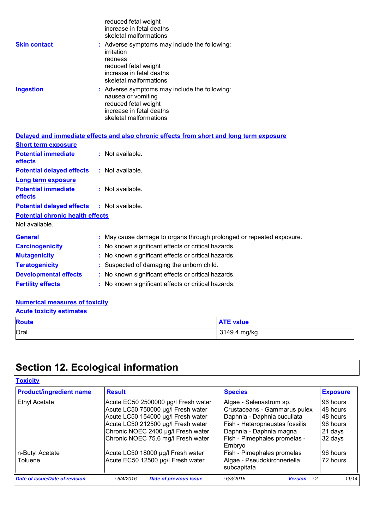|                     | reduced fetal weight<br>increase in fetal deaths<br>skeletal malformations                                                                           |
|---------------------|------------------------------------------------------------------------------------------------------------------------------------------------------|
| <b>Skin contact</b> | : Adverse symptoms may include the following:<br>irritation<br>redness<br>reduced fetal weight<br>increase in fetal deaths<br>skeletal malformations |
| <b>Ingestion</b>    | : Adverse symptoms may include the following:<br>nausea or vomiting<br>reduced fetal weight<br>increase in fetal deaths<br>skeletal malformations    |

|                                                   | Delayed and immediate effects and also chronic effects from short and long term exposure |
|---------------------------------------------------|------------------------------------------------------------------------------------------|
| <b>Short term exposure</b>                        |                                                                                          |
| <b>Potential immediate</b><br>effects             | $:$ Not available.                                                                       |
| <b>Potential delayed effects</b>                  | : Not available.                                                                         |
| <b>Long term exposure</b>                         |                                                                                          |
| <b>Potential immediate</b><br>effects             | : Not available.                                                                         |
| <b>Potential delayed effects : Not available.</b> |                                                                                          |
| <b>Potential chronic health effects</b>           |                                                                                          |
| Not available.                                    |                                                                                          |
| <b>General</b>                                    | : May cause damage to organs through prolonged or repeated exposure.                     |
| <b>Carcinogenicity</b>                            | : No known significant effects or critical hazards.                                      |
| <b>Mutagenicity</b>                               | : No known significant effects or critical hazards.                                      |
| <b>Teratogenicity</b>                             | : Suspected of damaging the unborn child.                                                |
| <b>Developmental effects</b>                      | : No known significant effects or critical hazards.                                      |
| <b>Fertility effects</b>                          | : No known significant effects or critical hazards.                                      |

#### **Numerical measures of toxicity**

| <b>Acute toxicity estimates</b> |                  |  |
|---------------------------------|------------------|--|
| <b>Route</b>                    | <b>ATE value</b> |  |
| Oral                            | 3149.4 mg/kg     |  |

# **Section 12. Ecological information**

#### **Toxicity**

| <b>Product/ingredient name</b> | <b>Result</b>                               | <b>Species</b>                             | <b>Exposure</b> |
|--------------------------------|---------------------------------------------|--------------------------------------------|-----------------|
| <b>Ethyl Acetate</b>           | Acute EC50 2500000 µg/l Fresh water         | Algae - Selenastrum sp.                    | 96 hours        |
|                                | Acute LC50 750000 µg/l Fresh water          | Crustaceans - Gammarus pulex               | 48 hours        |
|                                | Acute LC50 154000 µg/l Fresh water          | Daphnia - Daphnia cucullata                | 48 hours        |
|                                | Acute LC50 212500 µg/l Fresh water          | Fish - Heteropneustes fossilis             | 96 hours        |
|                                | Chronic NOEC 2400 µg/l Fresh water          | Daphnia - Daphnia magna                    | 21 days         |
|                                | Chronic NOEC 75.6 mg/l Fresh water          | Fish - Pimephales promelas -<br>Embryo     | 32 days         |
| n-Butyl Acetate                | Acute LC50 18000 µg/l Fresh water           | Fish - Pimephales promelas                 | 96 hours        |
| <b>Toluene</b>                 | Acute EC50 12500 µg/l Fresh water           | Algae - Pseudokirchneriella<br>subcapitata | 72 hours        |
| Date of issue/Date of revision | <b>Date of previous issue</b><br>: 6/4/2016 | : 6/3/2016<br><b>Version</b> : 2           | 11/14           |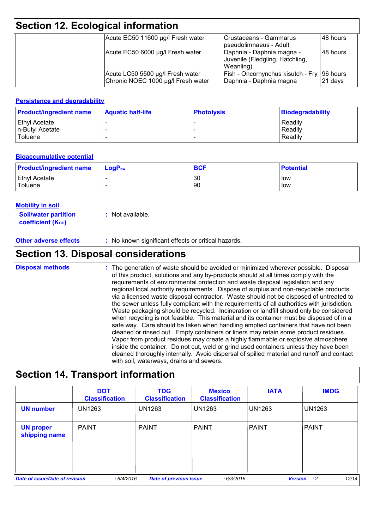| Section 12. Ecological information |                                                                        |                                                                           |           |  |
|------------------------------------|------------------------------------------------------------------------|---------------------------------------------------------------------------|-----------|--|
|                                    | Acute EC50 11600 µg/l Fresh water                                      | l Crustaceans - Gammarus<br>pseudolimnaeus - Adult                        | 48 hours  |  |
|                                    | Acute EC50 6000 µg/l Fresh water                                       | Daphnia - Daphnia magna -<br>Juvenile (Fledgling, Hatchling,<br>Weanling) | 148 hours |  |
|                                    | Acute LC50 5500 µg/l Fresh water<br>Chronic NOEC 1000 µg/l Fresh water | Fish - Oncorhynchus kisutch - Fry 96 hours<br>Daphnia - Daphnia magna     | 21 days   |  |

#### **Persistence and degradability**

| <b>Product/ingredient name</b> | <b>Aquatic half-life</b> | <b>Photolysis</b> | Biodegradability |
|--------------------------------|--------------------------|-------------------|------------------|
| <b>Ethyl Acetate</b>           |                          |                   | Readily          |
| In-Butyl Acetate               |                          |                   | Readily          |
| Toluene                        |                          |                   | Readily          |

#### **Bioaccumulative potential**

| <b>Product/ingredient name</b> | $\mathsf{LogP}_\mathsf{ow}$ | <b>BCF</b> | <b>Potential</b> |
|--------------------------------|-----------------------------|------------|------------------|
| <b>Ethyl Acetate</b>           |                             | 30         | <b>low</b>       |
| Toluene                        |                             | 90         | low              |

#### **Mobility in soil**

**Soil/water partition coefficient (K**<sub>oc</sub>) **:** Not available.

**Other adverse effects** : No known significant effects or critical hazards.

### **Section 13. Disposal considerations**

The generation of waste should be avoided or minimized wherever possible. Disposal of this product, solutions and any by-products should at all times comply with the requirements of environmental protection and waste disposal legislation and any regional local authority requirements. Dispose of surplus and non-recyclable products via a licensed waste disposal contractor. Waste should not be disposed of untreated to the sewer unless fully compliant with the requirements of all authorities with jurisdiction. Waste packaging should be recycled. Incineration or landfill should only be considered when recycling is not feasible. This material and its container must be disposed of in a safe way. Care should be taken when handling emptied containers that have not been cleaned or rinsed out. Empty containers or liners may retain some product residues. Vapor from product residues may create a highly flammable or explosive atmosphere inside the container. Do not cut, weld or grind used containers unless they have been cleaned thoroughly internally. Avoid dispersal of spilled material and runoff and contact with soil, waterways, drains and sewers. **Disposal methods :**

### **Section 14. Transport information**

|                                   | <b>DOT</b><br><b>Classification</b> | <b>TDG</b><br><b>Classification</b> | <b>Mexico</b><br><b>Classification</b> | <b>IATA</b>   | <b>IMDG</b>                 |
|-----------------------------------|-------------------------------------|-------------------------------------|----------------------------------------|---------------|-----------------------------|
| <b>UN number</b>                  | <b>UN1263</b>                       | <b>UN1263</b>                       | <b>UN1263</b>                          | <b>UN1263</b> | <b>UN1263</b>               |
| <b>UN proper</b><br>shipping name | <b>PAINT</b>                        | <b>PAINT</b>                        | <b>PAINT</b>                           | <b>PAINT</b>  | <b>PAINT</b>                |
|                                   |                                     |                                     |                                        |               |                             |
| Date of issue/Date of revision    | : 6/4/2016                          | <b>Date of previous issue</b>       | :6/3/2016                              |               | 12/14<br><b>Version</b> : 2 |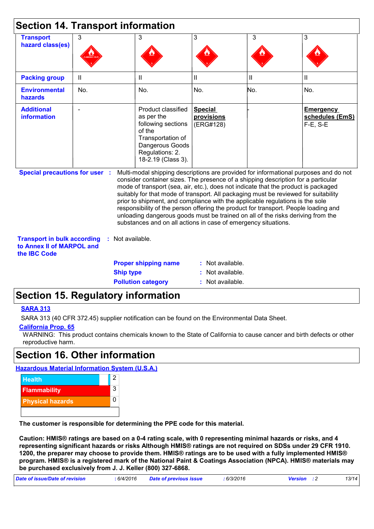|                                                                                        |              | <b>Section 14. Transport information</b>                                                                                                                                                                                                                                                                                                                                                                                                                                                                                                                                                                                                                                            |                                           |     |                                                      |
|----------------------------------------------------------------------------------------|--------------|-------------------------------------------------------------------------------------------------------------------------------------------------------------------------------------------------------------------------------------------------------------------------------------------------------------------------------------------------------------------------------------------------------------------------------------------------------------------------------------------------------------------------------------------------------------------------------------------------------------------------------------------------------------------------------------|-------------------------------------------|-----|------------------------------------------------------|
| <b>Transport</b><br>hazard class(es)                                                   | 3            | 3                                                                                                                                                                                                                                                                                                                                                                                                                                                                                                                                                                                                                                                                                   | 3                                         | 3   | 3                                                    |
| <b>Packing group</b>                                                                   | $\mathbf{I}$ | Ш                                                                                                                                                                                                                                                                                                                                                                                                                                                                                                                                                                                                                                                                                   | $\mathbf{II}$                             | Ш   | $\mathbf{II}$                                        |
| <b>Environmental</b><br>hazards                                                        | No.          | No.                                                                                                                                                                                                                                                                                                                                                                                                                                                                                                                                                                                                                                                                                 | No.                                       | No. | No.                                                  |
| <b>Additional</b><br><b>information</b>                                                |              | Product classified<br>as per the<br>following sections<br>of the<br>Transportation of<br>Dangerous Goods<br>Regulations: 2.<br>18-2.19 (Class 3).                                                                                                                                                                                                                                                                                                                                                                                                                                                                                                                                   | <b>Special</b><br>provisions<br>(ERG#128) |     | <b>Emergency</b><br>schedules (EmS)<br>$F-E$ , $S-E$ |
| <b>Special precautions for user :</b>                                                  |              | Multi-modal shipping descriptions are provided for informational purposes and do not<br>consider container sizes. The presence of a shipping description for a particular<br>mode of transport (sea, air, etc.), does not indicate that the product is packaged<br>suitably for that mode of transport. All packaging must be reviewed for suitability<br>prior to shipment, and compliance with the applicable regulations is the sole<br>responsibility of the person offering the product for transport. People loading and<br>unloading dangerous goods must be trained on all of the risks deriving from the<br>substances and on all actions in case of emergency situations. |                                           |     |                                                      |
| <b>Transport in bulk according</b><br>to Annex II of MARPOL and<br>the <b>IBC</b> Code |              | Not available.                                                                                                                                                                                                                                                                                                                                                                                                                                                                                                                                                                                                                                                                      |                                           |     |                                                      |
|                                                                                        |              | <b>Proper shipping name</b>                                                                                                                                                                                                                                                                                                                                                                                                                                                                                                                                                                                                                                                         | : Not available.                          |     |                                                      |
|                                                                                        |              | <b>Ship type</b>                                                                                                                                                                                                                                                                                                                                                                                                                                                                                                                                                                                                                                                                    | Not available.                            |     |                                                      |
|                                                                                        |              | <b>Pollution category</b>                                                                                                                                                                                                                                                                                                                                                                                                                                                                                                                                                                                                                                                           | : Not available.                          |     |                                                      |

### **Section 15. Regulatory information**

#### **SARA 313**

SARA 313 (40 CFR 372.45) supplier notification can be found on the Environmental Data Sheet.

#### **California Prop. 65**

WARNING: This product contains chemicals known to the State of California to cause cancer and birth defects or other reproductive harm.

### **Section 16. Other information**

**Hazardous Material Information System (U.S.A.)**



**The customer is responsible for determining the PPE code for this material.**

**Caution: HMIS® ratings are based on a 0-4 rating scale, with 0 representing minimal hazards or risks, and 4 representing significant hazards or risks Although HMIS® ratings are not required on SDSs under 29 CFR 1910. 1200, the preparer may choose to provide them. HMIS® ratings are to be used with a fully implemented HMIS® program. HMIS® is a registered mark of the National Paint & Coatings Association (NPCA). HMIS® materials may be purchased exclusively from J. J. Keller (800) 327-6868.**

| Date of issue/Date of revision | 6/4/2016 | Date of previous issue | 6/3/2016 | <b>Version</b> : 2 | 13/14 |
|--------------------------------|----------|------------------------|----------|--------------------|-------|
|                                |          |                        |          |                    |       |